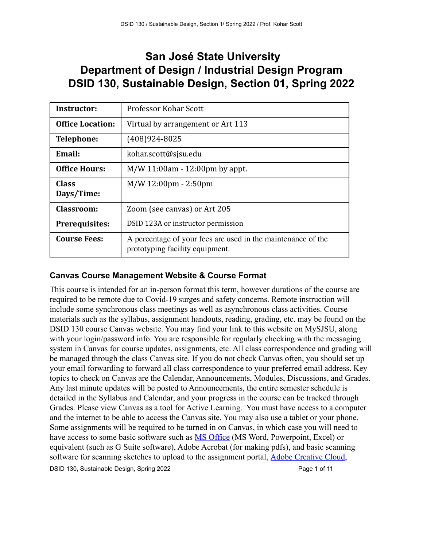# **San José State University Department of Design / Industrial Design Program DSID 130, Sustainable Design, Section 01, Spring 2022**

| <b>Instructor:</b>         | <b>Professor Kohar Scott</b>                                                                    |
|----------------------------|-------------------------------------------------------------------------------------------------|
| <b>Office Location:</b>    | Virtual by arrangement or Art 113                                                               |
| <b>Telephone:</b>          | (408)924-8025                                                                                   |
| Email:                     | kohar.scott@sjsu.edu                                                                            |
| <b>Office Hours:</b>       | $M/W 11:00$ am - 12:00pm by appt.                                                               |
| <b>Class</b><br>Days/Time: | $M/W 12:00 \text{pm} - 2:50 \text{pm}$                                                          |
| <b>Classroom:</b>          | Zoom (see canvas) or Art 205                                                                    |
| <b>Prerequisites:</b>      | DSID 123A or instructor permission                                                              |
| <b>Course Fees:</b>        | A percentage of your fees are used in the maintenance of the<br>prototyping facility equipment. |

# **Canvas Course Management Website & Course Format**

This course is intended for an in-person format this term, however durations of the course are required to be remote due to Covid-19 surges and safety concerns. Remote instruction will include some synchronous class meetings as well as asynchronous class activities. Course materials such as the syllabus, assignment handouts, reading, grading, etc. may be found on the DSID 130 course Canvas website. You may find your link to this website on MySJSU, along with your login/password info. You are responsible for regularly checking with the messaging system in Canvas for course updates, assignments, etc. All class correspondence and grading will be managed through the class Canvas site. If you do not check Canvas often, you should set up your email forwarding to forward all class correspondence to your preferred email address. Key topics to check on Canvas are the Calendar, Announcements, Modules, Discussions, and Grades. Any last minute updates will be posted to Announcements, the entire semester schedule is detailed in the Syllabus and Calendar, and your progress in the course can be tracked through Grades. Please view Canvas as a tool for Active Learning. You must have access to a computer and the internet to be able to access the Canvas site. You may also use a tablet or your phone. Some assignments will be required to be turned in on Canvas, in which case you will need to have access to some basic software such as [MS Office](https://www.sjsu.edu/it/services/collaboration/software/instructions.php) (MS Word, Powerpoint, Excel) or equivalent (such as G Suite software), Adobe Acrobat (for making pdfs), and basic scanning software for scanning sketches to upload to the assignment portal, [Adobe Creative Cloud,](https://www.sjsu.edu/ecampus/teaching-tools/adobe/students/index.html)

DSID 130, Sustainable Design, Spring 2022 **Page 1 of 11** and 2022 Page 1 of 11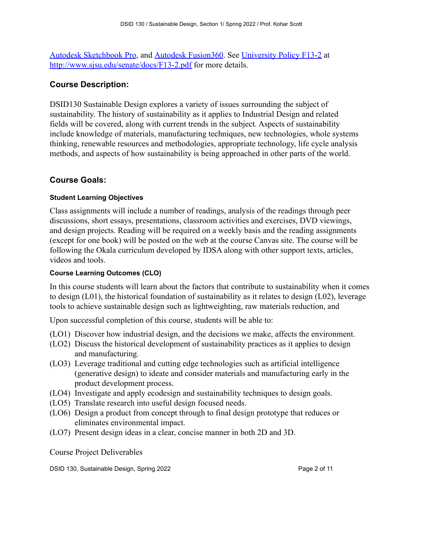[Autodesk Sketchbook Pro](https://www.autodesk.com/education/free-software/sketchbook-students), and [Autodesk Fusion360](https://www.autodesk.com/education/edu-software/overview?sorting=featured&page=1). See [University Policy F13-2](http://www.sjsu.edu/senate/docs/F13-2.pdf) at <http://www.sjsu.edu/senate/docs/F13-2.pdf> for more details.

## **Course Description:**

DSID130 Sustainable Design explores a variety of issues surrounding the subject of sustainability. The history of sustainability as it applies to Industrial Design and related fields will be covered, along with current trends in the subject. Aspects of sustainability include knowledge of materials, manufacturing techniques, new technologies, whole systems thinking, renewable resources and methodologies, appropriate technology, life cycle analysis methods, and aspects of how sustainability is being approached in other parts of the world.

### **Course Goals:**

#### **Student Learning Objectives**

Class assignments will include a number of readings, analysis of the readings through peer discussions, short essays, presentations, classroom activities and exercises, DVD viewings, and design projects. Reading will be required on a weekly basis and the reading assignments (except for one book) will be posted on the web at the course Canvas site. The course will be following the Okala curriculum developed by IDSA along with other support texts, articles, videos and tools.

#### **Course Learning Outcomes (CLO)**

In this course students will learn about the factors that contribute to sustainability when it comes to design (L01), the historical foundation of sustainability as it relates to design (L02), leverage tools to achieve sustainable design such as lightweighting, raw materials reduction, and

Upon successful completion of this course, students will be able to:

- (LO1) Discover how industrial design, and the decisions we make, affects the environment.
- (LO2) Discuss the historical development of sustainability practices as it applies to design and manufacturing.
- (LO3) Leverage traditional and cutting edge technologies such as artificial intelligence (generative design) to ideate and consider materials and manufacturing early in the product development process.
- (LO4) Investigate and apply ecodesign and sustainability techniques to design goals.
- (LO5) Translate research into useful design focused needs.
- (LO6) Design a product from concept through to final design prototype that reduces or eliminates environmental impact.
- (LO7) Present design ideas in a clear, concise manner in both 2D and 3D.

Course Project Deliverables

DSID 130, Sustainable Design, Spring 2022 **Page 2 of 11** and 2022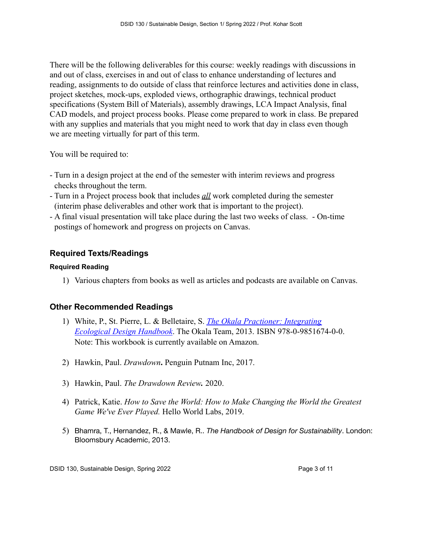There will be the following deliverables for this course: weekly readings with discussions in and out of class, exercises in and out of class to enhance understanding of lectures and reading, assignments to do outside of class that reinforce lectures and activities done in class, project sketches, mock-ups, exploded views, orthographic drawings, technical product specifications (System Bill of Materials), assembly drawings, LCA Impact Analysis, final CAD models, and project process books. Please come prepared to work in class. Be prepared with any supplies and materials that you might need to work that day in class even though we are meeting virtually for part of this term.

You will be required to:

- Turn in a design project at the end of the semester with interim reviews and progress checks throughout the term.
- Turn in a Project process book that includes *all* work completed during the semester (interim phase deliverables and other work that is important to the project).
- A final visual presentation will take place during the last two weeks of class. On-time postings of homework and progress on projects on Canvas.

# **Required Texts/Readings**

#### **Required Reading**

1) Various chapters from books as well as articles and podcasts are available on Canvas.

## **Other Recommended Readings**

- 1) White, P., St. Pierre, L. & Belletaire, S. *The Okala Practioner: Integrating Ecological Design Handbook*. The Okala Team, 2013. ISBN 978-0-9851674-0-0. Note: This workbook is currently available on Amazon.
- 2) Hawkin, Paul. *Drawdown***.** Penguin Putnam Inc, 2017.
- 3) Hawkin, Paul. *The Drawdown Review.* 2020.
- 4) Patrick, Katie. *How to Save the World: How to Make Changing the World the Greatest Game We've Ever Played.* Hello World Labs, 2019.
- 5) Bhamra, T., Hernandez, R., & Mawle, R.. *The Handbook of Design for Sustainability*. London: Bloomsbury Academic, 2013.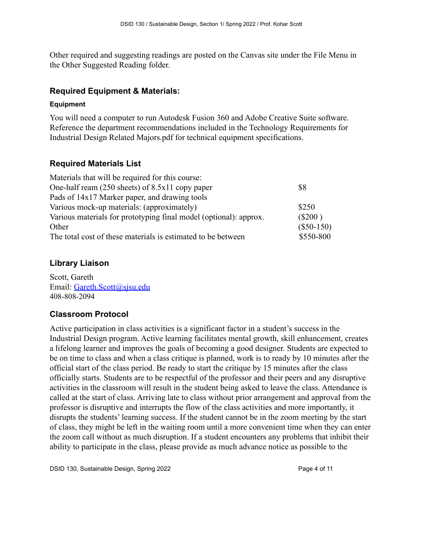Other required and suggesting readings are posted on the Canvas site under the File Menu in the Other Suggested Reading folder.

## **Required Equipment & Materials:**

#### **Equipment**

You will need a computer to run Autodesk Fusion 360 and Adobe Creative Suite software. Reference the department recommendations included in the Technology Requirements for Industrial Design Related Majors.pdf for technical equipment specifications.

# **Required Materials List**

| \$8          |
|--------------|
|              |
| \$250        |
| $(\$200)$    |
| $(\$50-150)$ |
| \$550-800    |
|              |

# **Library Liaison**

Scott, Gareth Email: [Gareth.Scott@sjsu.edu](mailto:Gareth.Scott@sjsu.edu) 408-808-2094

# **Classroom Protocol**

Active participation in class activities is a significant factor in a student's success in the Industrial Design program. Active learning facilitates mental growth, skill enhancement, creates a lifelong learner and improves the goals of becoming a good designer. Students are expected to be on time to class and when a class critique is planned, work is to ready by 10 minutes after the official start of the class period. Be ready to start the critique by 15 minutes after the class officially starts. Students are to be respectful of the professor and their peers and any disruptive activities in the classroom will result in the student being asked to leave the class. Attendance is called at the start of class. Arriving late to class without prior arrangement and approval from the professor is disruptive and interrupts the flow of the class activities and more importantly, it disrupts the students' learning success. If the student cannot be in the zoom meeting by the start of class, they might be left in the waiting room until a more convenient time when they can enter the zoom call without as much disruption. If a student encounters any problems that inhibit their ability to participate in the class, please provide as much advance notice as possible to the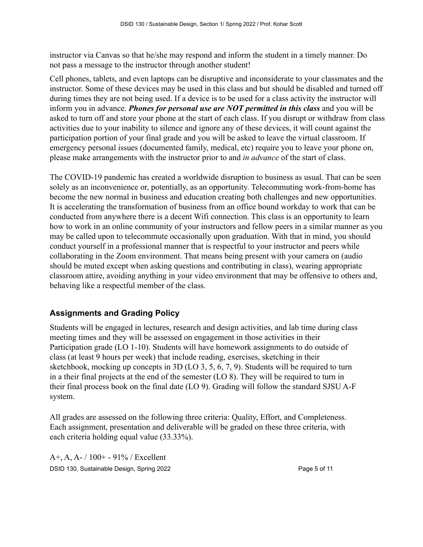instructor via Canvas so that he/she may respond and inform the student in a timely manner. Do not pass a message to the instructor through another student!

Cell phones, tablets, and even laptops can be disruptive and inconsiderate to your classmates and the instructor. Some of these devices may be used in this class and but should be disabled and turned off during times they are not being used. If a device is to be used for a class activity the instructor will inform you in advance. *Phones for personal use are NOT permitted in this class* and you will be asked to turn off and store your phone at the start of each class. If you disrupt or withdraw from class activities due to your inability to silence and ignore any of these devices, it will count against the participation portion of your final grade and you will be asked to leave the virtual classroom. If emergency personal issues (documented family, medical, etc) require you to leave your phone on, please make arrangements with the instructor prior to and *in advance* of the start of class.

The COVID-19 pandemic has created a worldwide disruption to business as usual. That can be seen solely as an inconvenience or, potentially, as an opportunity. Telecommuting work-from-home has become the new normal in business and education creating both challenges and new opportunities. It is accelerating the transformation of business from an office bound workday to work that can be conducted from anywhere there is a decent Wifi connection. This class is an opportunity to learn how to work in an online community of your instructors and fellow peers in a similar manner as you may be called upon to telecommute occasionally upon graduation. With that in mind, you should conduct yourself in a professional manner that is respectful to your instructor and peers while collaborating in the Zoom environment. That means being present with your camera on (audio should be muted except when asking questions and contributing in class), wearing appropriate classroom attire, avoiding anything in your video environment that may be offensive to others and, behaving like a respectful member of the class.

# **Assignments and Grading Policy**

Students will be engaged in lectures, research and design activities, and lab time during class meeting times and they will be assessed on engagement in those activities in their Participation grade (LO 1-10). Students will have homework assignments to do outside of class (at least 9 hours per week) that include reading, exercises, sketching in their sketchbook, mocking up concepts in 3D (LO 3, 5, 6, 7, 9). Students will be required to turn in a their final projects at the end of the semester (LO 8). They will be required to turn in their final process book on the final date (LO 9). Grading will follow the standard SJSU A-F system.

All grades are assessed on the following three criteria: Quality, Effort, and Completeness. Each assignment, presentation and deliverable will be graded on these three criteria, with each criteria holding equal value (33.33%).

A+, A, A- / 100+ - 91% / Excellent DSID 130, Sustainable Design, Spring 2022 **Page 5 of 11** Page 5 of 11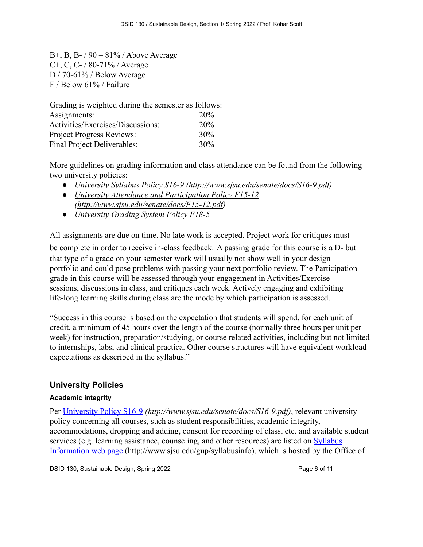B+, B, B- / 90 – 81% / Above Average C+, C, C- / 80-71% / Average D / 70-61% / Below Average F / Below 61% / Failure

Grading is weighted during the semester as follows: Assignments: 20% Activities/Exercises/Discussions: 20% Project Progress Reviews: 30% Final Project Deliverables: 30%

More guidelines on grading information and class attendance can be found from the following two university policies:

- *● [University Syllabus Policy S16-9](http://www.sjsu.edu/senate/docs/S16-9.pdf) (http://www.sjsu.edu/senate/docs/S16-9.pdf)*
- *● University Attendance and Participation Policy F15-12 ([http://www.sjsu.edu/senate/docs/F15-12.pdf\)](http://www.sjsu.edu/senate/docs/F15-12.pdf)*
- *● [University Grading System Policy F18-5](http://www.sjsu.edu/senate/docs/F18-5.pdf)*

All assignments are due on time. No late work is accepted. Project work for critiques must be complete in order to receive in-class feedback. A passing grade for this course is a D- but that type of a grade on your semester work will usually not show well in your design portfolio and could pose problems with passing your next portfolio review. The Participation grade in this course will be assessed through your engagement in Activities/Exercise sessions, discussions in class, and critiques each week. Actively engaging and exhibiting life-long learning skills during class are the mode by which participation is assessed.

"Success in this course is based on the expectation that students will spend, for each unit of credit, a minimum of 45 hours over the length of the course (normally three hours per unit per week) for instruction, preparation/studying, or course related activities, including but not limited to internships, labs, and clinical practica. Other course structures will have equivalent workload expectations as described in the syllabus."

## **University Policies**

#### **Academic integrity**

Per [University Policy S16-9](http://www.sjsu.edu/senate/docs/S16-9.pdf) *(http://www.sjsu.edu/senate/docs/S16-9.pdf)*, relevant university policy concerning all courses, such as student responsibilities, academic integrity, accommodations, dropping and adding, consent for recording of class, etc. and available student services (e.g. learning assistance, counseling, and other resources) are listed on **[Syllabus](http://www.sjsu.edu/gup/syllabusinfo/)** [Information web page](http://www.sjsu.edu/gup/syllabusinfo/) (http://www.sjsu.edu/gup/syllabusinfo), which is hosted by the Office of

DSID 130, Sustainable Design, Spring 2022 **Page 6 of 11** Page 6 of 11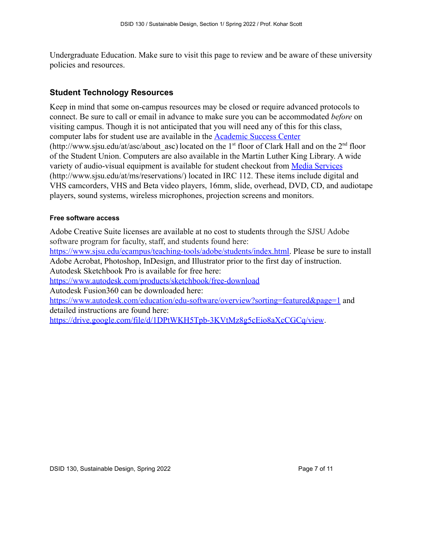Undergraduate Education. Make sure to visit this page to review and be aware of these university policies and resources.

## **Student Technology Resources**

Keep in mind that some on-campus resources may be closed or require advanced protocols to connect. Be sure to call or email in advance to make sure you can be accommodated *before* on visiting campus. Though it is not anticipated that you will need any of this for this class, computer labs for student use are available in the [Academic Success Center](http://www.sjsu.edu/at/asc/about_asc/) (http://www.sjsu.edu/at/asc/about asc) located on the 1<sup>st</sup> floor of Clark Hall and on the 2<sup>nd</sup> floor of the Student Union. Computers are also available in the Martin Luther King Library. A wide variety of audio-visual equipment is available for student checkout from [Media Services](http://www.sjsu.edu/at/ms/reservations/) (http://www.sjsu.edu/at/ms/reservations/) located in IRC 112. These items include digital and VHS camcorders, VHS and Beta video players, 16mm, slide, overhead, DVD, CD, and audiotape players, sound systems, wireless microphones, projection screens and monitors.

#### **Free software access**

Adobe Creative Suite licenses are available at no cost to students through the SJSU Adobe software program for faculty, staff, and students found here:

[https://www.sjsu.edu/ecampus/teaching-tools/adobe/students/index.html.](https://www.sjsu.edu/ecampus/teaching-tools/adobe/students/index.html) Please be sure to install Adobe Acrobat, Photoshop, InDesign, and Illustrator prior to the first day of instruction. Autodesk Sketchbook Pro is available for free here:

<https://www.autodesk.com/products/sketchbook/free-download>

Autodesk Fusion360 can be downloaded here:

<https://www.autodesk.com/education/edu-software/overview?sorting=featured&page=1> and detailed instructions are found here:

<https://drive.google.com/file/d/1DPtWKH5Tpb-3KVtMz8g5cEio8aXcCGCq/view>.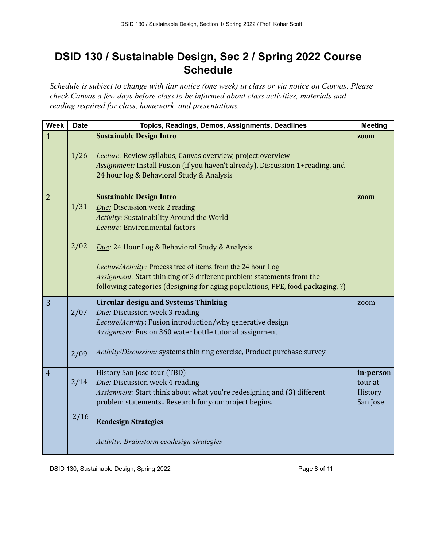# **DSID 130 / Sustainable Design, Sec 2 / Spring 2022 Course Schedule**

*Schedule is subject to change with fair notice (one week) in class or via notice on Canvas. Please check Canvas a few days before class to be informed about class activities, materials and reading required for class, homework, and presentations.*

| <b>Week</b>    | <b>Date</b>  | Topics, Readings, Demos, Assignments, Deadlines                                                                                                                                                                                                                                    | <b>Meeting</b>                              |
|----------------|--------------|------------------------------------------------------------------------------------------------------------------------------------------------------------------------------------------------------------------------------------------------------------------------------------|---------------------------------------------|
| $\mathbf{1}$   | 1/26         | <b>Sustainable Design Intro</b><br>Lecture: Review syllabus, Canvas overview, project overview<br>Assignment: Install Fusion (if you haven't already), Discussion 1+reading, and<br>24 hour log & Behavioral Study & Analysis                                                      | zoom                                        |
| $\overline{2}$ | 1/31         | <b>Sustainable Design Intro</b><br>Due: Discussion week 2 reading<br><b>Activity: Sustainability Around the World</b><br>Lecture: Environmental factors                                                                                                                            | zoom                                        |
|                | 2/02         | Due: 24 Hour Log & Behavioral Study & Analysis<br>Lecture/Activity: Process tree of items from the 24 hour Log<br>Assignment: Start thinking of 3 different problem statements from the<br>following categories (designing for aging populations, PPE, food packaging, ?)          |                                             |
| 3              | 2/07<br>2/09 | <b>Circular design and Systems Thinking</b><br>Due: Discussion week 3 reading<br>Lecture/Activity: Fusion introduction/why generative design<br>Assignment: Fusion 360 water bottle tutorial assignment<br>Activity/Discussion: systems thinking exercise, Product purchase survey | zoom                                        |
| $\overline{4}$ | 2/14         | History San Jose tour (TBD)<br>Due: Discussion week 4 reading<br>Assignment: Start think about what you're redesigning and (3) different<br>problem statements Research for your project begins.                                                                                   | in-person<br>tour at<br>History<br>San Jose |
|                | 2/16         | <b>Ecodesign Strategies</b><br>Activity: Brainstorm ecodesign strategies                                                                                                                                                                                                           |                                             |

DSID 130, Sustainable Design, Spring 2022 **Page 8 of 11** Page 8 of 11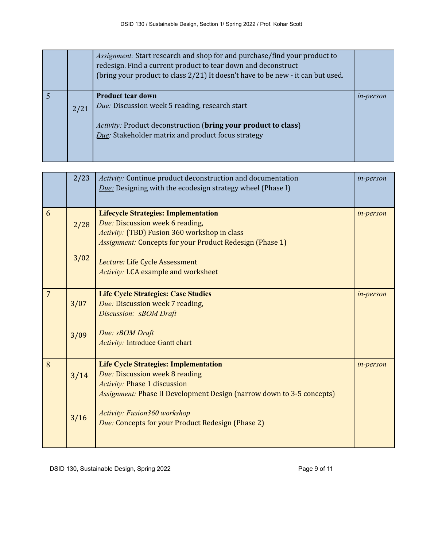|      | Assignment: Start research and shop for and purchase/find your product to<br>redesign. Find a current product to tear down and deconstruct<br>(bring your product to class 2/21) It doesn't have to be new - it can but used. |                  |
|------|-------------------------------------------------------------------------------------------------------------------------------------------------------------------------------------------------------------------------------|------------------|
| 2/21 | <b>Product tear down</b><br>Due: Discussion week 5 reading, research start<br><i>Activity:</i> Product deconstruction ( <b>bring your product to class</b> )<br>Due: Stakeholder matrix and product focus strategy            | <i>in-person</i> |

|                | 2/23           | Activity: Continue product deconstruction and documentation<br><b>Due:</b> Designing with the ecodesign strategy wheel (Phase I)                                                                                                                                                           | in-person |
|----------------|----------------|--------------------------------------------------------------------------------------------------------------------------------------------------------------------------------------------------------------------------------------------------------------------------------------------|-----------|
| 6              | 2/28<br>3/02   | <b>Lifecycle Strategies: Implementation</b><br>Due: Discussion week 6 reading,<br>Activity: (TBD) Fusion 360 workshop in class<br><b>Assignment: Concepts for your Product Redesign (Phase 1)</b><br>Lecture: Life Cycle Assessment<br><b>Activity: LCA example and worksheet</b>          | in-person |
| $\overline{7}$ | 3/07<br>3/09   | <b>Life Cycle Strategies: Case Studies</b><br>Due: Discussion week 7 reading,<br>Discussion: sBOM Draft<br>Due: sBOM Draft<br><b>Activity: Introduce Gantt chart</b>                                                                                                                       | in-person |
| 8              | 3/14<br>$3/16$ | <b>Life Cycle Strategies: Implementation</b><br>Due: Discussion week 8 reading<br><b>Activity: Phase 1 discussion</b><br><i>Assignment:</i> Phase II Development Design (narrow down to 3-5 concepts)<br>Activity: Fusion360 workshop<br>Due: Concepts for your Product Redesign (Phase 2) | in-person |

DSID 130, Sustainable Design, Spring 2022 **Page 9 of 11** Page 9 of 11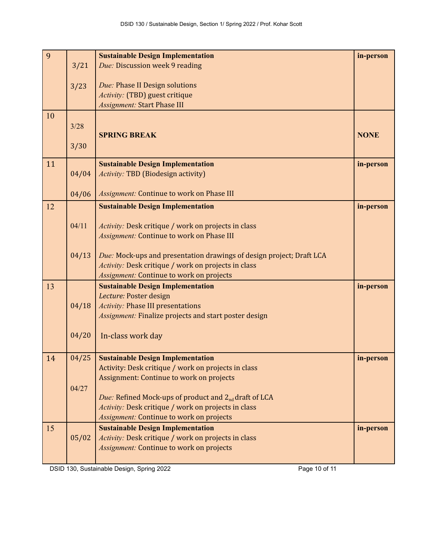| 9  |       | <b>Sustainable Design Implementation</b>                                                                | in-person   |
|----|-------|---------------------------------------------------------------------------------------------------------|-------------|
|    | 3/21  | Due: Discussion week 9 reading                                                                          |             |
|    |       |                                                                                                         |             |
|    | 3/23  | Due: Phase II Design solutions                                                                          |             |
|    |       | Activity: (TBD) guest critique<br><b>Assignment: Start Phase III</b>                                    |             |
| 10 |       |                                                                                                         |             |
|    | 3/28  |                                                                                                         |             |
|    |       | <b>SPRING BREAK</b>                                                                                     | <b>NONE</b> |
|    | 3/30  |                                                                                                         |             |
|    |       |                                                                                                         |             |
| 11 |       | <b>Sustainable Design Implementation</b>                                                                | in-person   |
|    | 04/04 | <b>Activity: TBD (Biodesign activity)</b>                                                               |             |
|    |       |                                                                                                         |             |
|    | 04/06 | <b>Assignment: Continue to work on Phase III</b>                                                        |             |
| 12 |       | <b>Sustainable Design Implementation</b>                                                                | in-person   |
|    | 04/11 |                                                                                                         |             |
|    |       | Activity: Desk critique / work on projects in class<br><b>Assignment: Continue to work on Phase III</b> |             |
|    |       |                                                                                                         |             |
|    | 04/13 | Due: Mock-ups and presentation drawings of design project; Draft LCA                                    |             |
|    |       | Activity: Desk critique / work on projects in class                                                     |             |
|    |       | <b>Assignment: Continue to work on projects</b>                                                         |             |
| 13 |       | <b>Sustainable Design Implementation</b>                                                                | in-person   |
|    |       | Lecture: Poster design                                                                                  |             |
|    | 04/18 | <b>Activity: Phase III presentations</b>                                                                |             |
|    |       | <b>Assignment: Finalize projects and start poster design</b>                                            |             |
|    |       |                                                                                                         |             |
|    | 04/20 | In-class work day                                                                                       |             |
|    |       |                                                                                                         |             |
| 14 | 04/25 | <b>Sustainable Design Implementation</b>                                                                | in-person   |
|    |       | Activity: Desk critique / work on projects in class<br>Assignment: Continue to work on projects         |             |
|    | 04/27 |                                                                                                         |             |
|    |       | <i>Due:</i> Refined Mock-ups of product and $2_{nd}$ draft of LCA                                       |             |
|    |       | Activity: Desk critique / work on projects in class                                                     |             |
|    |       | <b>Assignment: Continue to work on projects</b>                                                         |             |
| 15 |       | <b>Sustainable Design Implementation</b>                                                                | in-person   |
|    | 05/02 | Activity: Desk critique / work on projects in class                                                     |             |
|    |       | <b>Assignment: Continue to work on projects</b>                                                         |             |
|    |       |                                                                                                         |             |

DSID 130, Sustainable Design, Spring 2022 **Page 10 of 11** Page 10 of 11